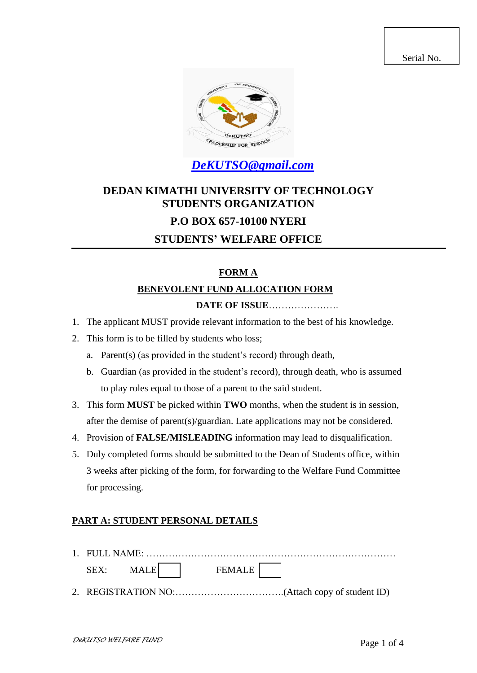Serial No.



*[DeKUTSO@gmail.com](mailto:DeKUTSO@gmail.com)*

# **DEDAN KIMATHI UNIVERSITY OF TECHNOLOGY STUDENTS ORGANIZATION P.O BOX 657-10100 NYERI STUDENTS' WELFARE OFFICE**

# **FORM A**

## **BENEVOLENT FUND ALLOCATION FORM**

## **DATE OF ISSUE**………………….

- 1. The applicant MUST provide relevant information to the best of his knowledge.
- 2. This form is to be filled by students who loss;
	- a. Parent(s) (as provided in the student's record) through death,
	- b. Guardian (as provided in the student's record), through death, who is assumed to play roles equal to those of a parent to the said student.
- 3. This form **MUST** be picked within **TWO** months, when the student is in session, after the demise of parent(s)/guardian. Late applications may not be considered.
- 4. Provision of **FALSE/MISLEADING** information may lead to disqualification.
- 5. Duly completed forms should be submitted to the Dean of Students office, within 3 weeks after picking of the form, for forwarding to the Welfare Fund Committee for processing.

### **PART A: STUDENT PERSONAL DETAILS**

- 1. FULL NAME: …………………………………………………………………… SEX: MALE | FEMALE
- 2. REGISTRATION NO:…………………………….(Attach copy of student ID)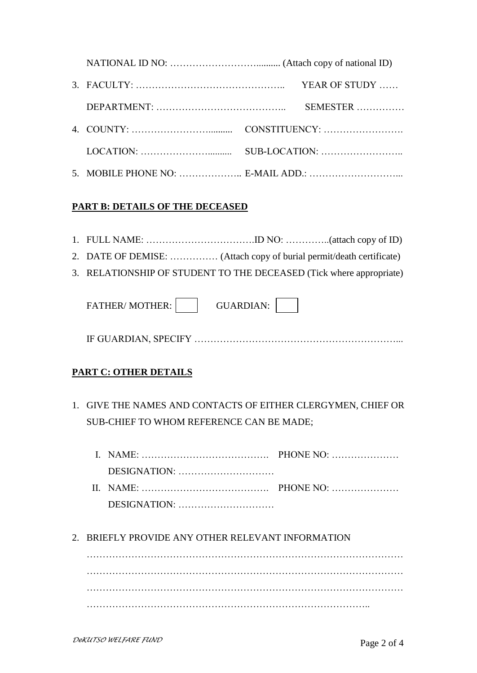|  | YEAR OF STUDY |
|--|---------------|
|  | SEMESTER      |
|  |               |
|  |               |
|  |               |

### **PART B: DETAILS OF THE DECEASED**

- 1. FULL NAME: …………………………….ID NO: …………..(attach copy of ID)
- 2. DATE OF DEMISE: …………… (Attach copy of burial permit/death certificate)
- 3. RELATIONSHIP OF STUDENT TO THE DECEASED (Tick where appropriate)

| <b>FATHER/MOTHER:</b> | GUARDIAN: |  |
|-----------------------|-----------|--|
|                       |           |  |

IF GUARDIAN, SPECIFY ………………………………………………………...

## **PART C: OTHER DETAILS**

1. GIVE THE NAMES AND CONTACTS OF EITHER CLERGYMEN, CHIEF OR SUB-CHIEF TO WHOM REFERENCE CAN BE MADE;

| I. NAME: $\ldots$ PHONE NO: $\ldots$                                                                                  |  |
|-----------------------------------------------------------------------------------------------------------------------|--|
|                                                                                                                       |  |
| II. NAME: $\ldots$ $\ldots$ $\ldots$ $\ldots$ $\ldots$ $\ldots$ $\ldots$ $\ldots$ $\ldots$ $\ldots$ $\ldots$ $\ldots$ |  |
|                                                                                                                       |  |

2. BRIEFLY PROVIDE ANY OTHER RELEVANT INFORMATION

……………………………………………………………………………………… ……………………………………………………………………………………… ……………………………………………………………………………..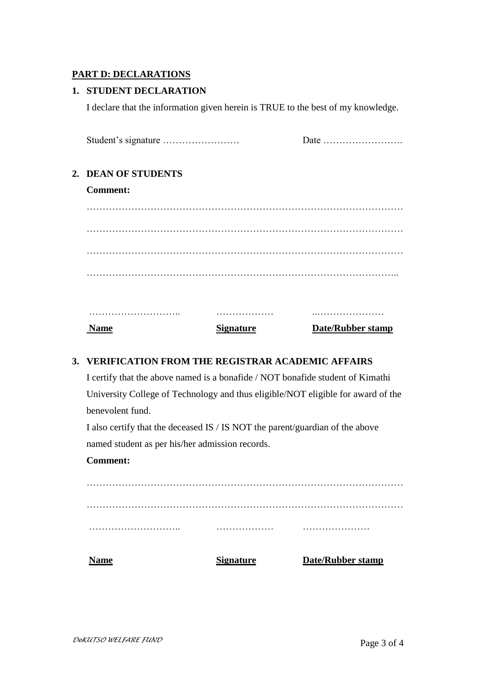#### **PART D: DECLARATIONS**

#### **1. STUDENT DECLARATION**

I declare that the information given herein is TRUE to the best of my knowledge.

| <b>Name</b>         | <b>Signature</b> | <b>Date/Rubber stamp</b> |
|---------------------|------------------|--------------------------|
|                     |                  |                          |
|                     |                  |                          |
|                     |                  |                          |
|                     |                  |                          |
|                     |                  |                          |
|                     |                  |                          |
| <b>Comment:</b>     |                  |                          |
| 2. DEAN OF STUDENTS |                  |                          |
|                     |                  | Date                     |

### **3. VERIFICATION FROM THE REGISTRAR ACADEMIC AFFAIRS**

I certify that the above named is a bonafide / NOT bonafide student of Kimathi University College of Technology and thus eligible/NOT eligible for award of the benevolent fund.

I also certify that the deceased IS / IS NOT the parent/guardian of the above named student as per his/her admission records.

#### **Comment:**

……………………………………………………………………………………… ……………………………………………………………………………………… ……………………….. ……………… ………………… **Name Signature Date/Rubber stamp**